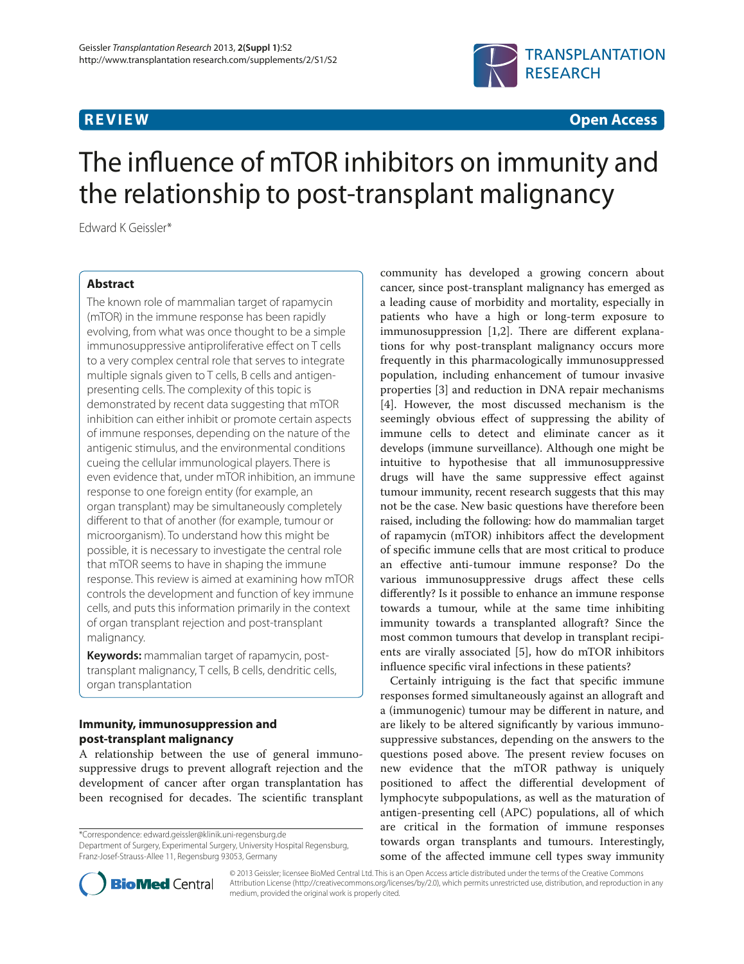

**R E V I E W Open Access**

# The influence of mTOR inhibitors on immunity and the relationship to post-transplant malignancy

Edward K Geissler\*

# **Abstract**

The known role of mammalian target of rapamycin (mTOR) in the immune response has been rapidly evolving, from what was once thought to be a simple immunosuppressive antiproliferative effect on T cells to a very complex central role that serves to integrate multiple signals given to T cells, B cells and antigenpresenting cells. The complexity of this topic is demonstrated by recent data suggesting that mTOR inhibition can either inhibit or promote certain aspects of immune responses, depending on the nature of the antigenic stimulus, and the environmental conditions cueing the cellular immunological players. There is even evidence that, under mTOR inhibition, an immune response to one foreign entity (for example, an organ transplant) may be simultaneously completely different to that of another (for example, tumour or microorganism). To understand how this might be possible, it is necessary to investigate the central role that mTOR seems to have in shaping the immune response. This review is aimed at examining how mTOR controls the development and function of key immune cells, and puts this information primarily in the context of organ transplant rejection and post-transplant malignancy.

**Keywords:** mammalian target of rapamycin, posttransplant malignancy, T cells, B cells, dendritic cells, organ transplantation

# **Immunity, immunosuppression and post-transplant malignancy**

A relationship between the use of general immunosuppressive drugs to prevent allograft rejection and the development of cancer after organ transplantation has been recognised for decades. The scientific transplant

\*Correspondence: edward.geissler@klinik.uni-regensburg.de

Department of Surgery, Experimental Surgery, University Hospital Regensburg, Franz-Josef-Strauss-Allee 11, Regensburg 93053, Germany

community has developed a growing concern about cancer, since post-transplant malignancy has emerged as a leading cause of morbidity and mortality, especially in patients who have a high or long-term exposure to immunosuppression  $[1,2]$ . There are different explanations for why post-transplant malignancy occurs more frequently in this pharmacologically immunosuppressed population, including enhancement of tumour invasive properties [3] and reduction in DNA repair mechanisms [4]. However, the most discussed mechanism is the seemingly obvious effect of suppressing the ability of immune cells to detect and eliminate cancer as it develops (immune surveillance). Although one might be intuitive to hypothesise that all immunosuppressive drugs will have the same suppressive effect against tumour immunity, recent research suggests that this may not be the case. New basic questions have therefore been raised, including the following: how do mammalian target of rapamycin (mTOR) inhibitors affect the development of specific immune cells that are most critical to produce an effective anti-tumour immune response? Do the various immunosuppressive drugs affect these cells differently? Is it possible to enhance an immune response towards a tumour, while at the same time inhibiting immunity towards a transplanted allograft? Since the most common tumours that develop in transplant recipients are virally associated [5], how do mTOR inhibitors influence specific viral infections in these patients?

Certainly intriguing is the fact that specific immune responses formed simultaneously against an allograft and a (immunogenic) tumour may be different in nature, and are likely to be altered significantly by various immunosuppressive substances, depending on the answers to the questions posed above. The present review focuses on new evidence that the mTOR pathway is uniquely positioned to affect the differential development of lymphocyte subpopulations, as well as the maturation of antigen-presenting cell (APC) populations, all of which are critical in the formation of immune responses towards organ transplants and tumours. Interestingly, some of the affected immune cell types sway immunity



© 2013 Geissler; licensee BioMed Central Ltd. This is an Open Access article distributed under the terms of the Creative Commons Attribution License (http://creativecommons.org/licenses/by/2.0), which permits unrestricted use, distribution, and reproduction in any medium, provided the original work is properly cited.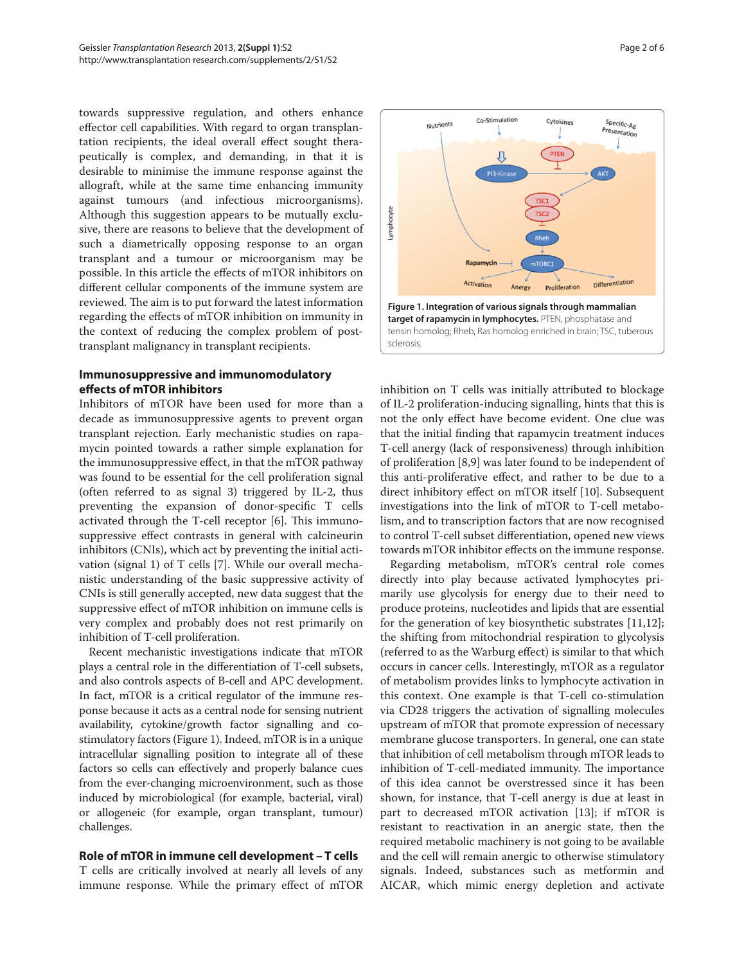towards suppressive regulation, and others enhance effector cell capabilities. With regard to organ transplantation recipients, the ideal overall effect sought therapeutically is complex, and demanding, in that it is desirable to minimise the immune response against the allograft, while at the same time enhancing immunity against tumours (and infectious microorganisms). Although this suggestion appears to be mutually exclusive, there are reasons to believe that the development of such a diametrically opposing response to an organ transplant and a tumour or microorganism may be possible. In this article the effects of mTOR inhibitors on different cellular components of the immune system are reviewed. The aim is to put forward the latest information regarding the effects of mTOR inhibition on immunity in the context of reducing the complex problem of posttransplant malignancy in transplant recipients.

# **Immunosuppressive and immunomodulatory eff ects of mTOR inhibitors**

Inhibitors of mTOR have been used for more than a decade as immunosuppressive agents to prevent organ transplant rejection. Early mechanistic studies on rapamycin pointed towards a rather simple explanation for the immunosuppressive effect, in that the mTOR pathway was found to be essential for the cell proliferation signal (often referred to as signal 3) triggered by IL-2, thus preventing the expansion of donor-specific T cells activated through the T-cell receptor  $[6]$ . This immunosuppressive effect contrasts in general with calcineurin inhibitors (CNIs), which act by preventing the initial activation (signal 1) of T cells [7]. While our overall mechanistic understanding of the basic suppressive activity of CNIs is still generally accepted, new data suggest that the suppressive effect of mTOR inhibition on immune cells is very complex and probably does not rest primarily on inhibition of T-cell proliferation.

Recent mechanistic investigations indicate that mTOR plays a central role in the differentiation of T-cell subsets, and also controls aspects of B-cell and APC development. In fact, mTOR is a critical regulator of the immune response because it acts as a central node for sensing nutrient availability, cytokine/growth factor signalling and costimulatory factors (Figure 1). Indeed, mTOR is in a unique intracellular signalling position to integrate all of these factors so cells can effectively and properly balance cues from the ever-changing microenvironment, such as those induced by microbiological (for example, bacterial, viral) or allogeneic (for example, organ transplant, tumour) challenges.

## **Role of mTOR in immune cell development – T cells**

T cells are critically involved at nearly all levels of any immune response. While the primary effect of mTOR



inhibition on T cells was initially attributed to blockage of IL-2 proliferation-inducing signalling, hints that this is not the only effect have become evident. One clue was that the initial finding that rapamycin treatment induces T-cell anergy (lack of responsiveness) through inhibition of proliferation [8,9] was later found to be independent of this anti-proliferative effect, and rather to be due to a direct inhibitory effect on mTOR itself [10]. Subsequent investigations into the link of mTOR to T-cell metabolism, and to transcription factors that are now recognised to control T-cell subset differentiation, opened new views towards mTOR inhibitor effects on the immune response.

Regarding metabolism, mTOR's central role comes directly into play because activated lymphocytes primarily use glycolysis for energy due to their need to produce proteins, nucleotides and lipids that are essential for the generation of key biosynthetic substrates [11,12]; the shifting from mitochondrial respiration to glycolysis (referred to as the Warburg effect) is similar to that which occurs in cancer cells. Interestingly, mTOR as a regulator of metabolism provides links to lymphocyte activation in this context. One example is that T-cell co-stimulation via CD28 triggers the activation of signalling molecules upstream of mTOR that promote expression of necessary membrane glucose transporters. In general, one can state that inhibition of cell metabolism through mTOR leads to inhibition of T-cell-mediated immunity. The importance of this idea cannot be overstressed since it has been shown, for instance, that T-cell anergy is due at least in part to decreased mTOR activation [13]; if mTOR is resistant to reactivation in an anergic state, then the required metabolic machinery is not going to be available and the cell will remain anergic to otherwise stimulatory signals. Indeed, substances such as metformin and AICAR, which mimic energy depletion and activate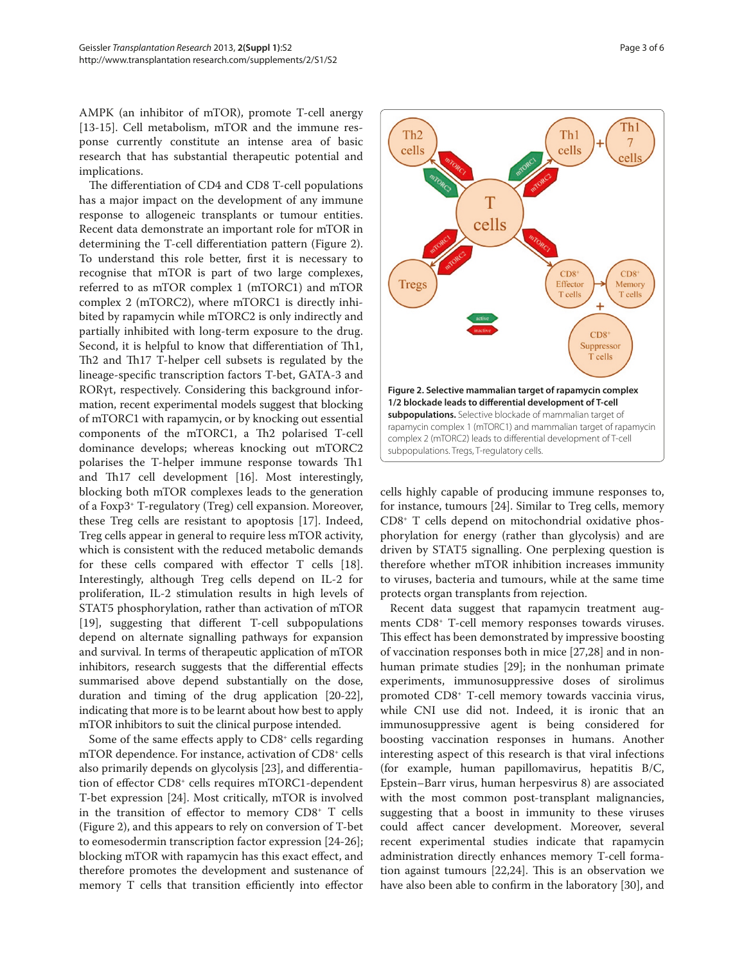AMPK (an inhibitor of mTOR), promote T-cell anergy [13-15]. Cell metabolism, mTOR and the immune response currently constitute an intense area of basic research that has substantial therapeutic potential and implications.

The differentiation of CD4 and CD8 T-cell populations has a major impact on the development of any immune response to allogeneic transplants or tumour entities. Recent data demonstrate an important role for mTOR in determining the T-cell differentiation pattern (Figure 2). To understand this role better, first it is necessary to recognise that mTOR is part of two large complexes, referred to as mTOR complex 1 (mTORC1) and mTOR complex 2 (mTORC2), where mTORC1 is directly inhibited by rapamycin while mTORC2 is only indirectly and partially inhibited with long-term exposure to the drug. Second, it is helpful to know that differentiation of Th1, Th<sub>2</sub> and Th<sub>17</sub> T-helper cell subsets is regulated by the lineage-specific transcription factors T-bet, GATA-3 and RORγt, respectively. Considering this background information, recent experimental models suggest that blocking of mTORC1 with rapamycin, or by knocking out essential components of the mTORC1, a Th<sub>2</sub> polarised T-cell dominance develops; whereas knocking out mTORC2 polarises the T-helper immune response towards Th1 and Th17 cell development [16]. Most interestingly, blocking both mTOR complexes leads to the generation of a Foxp3+ T-regulatory (Treg) cell expansion. Moreover, these Treg cells are resistant to apoptosis [17]. Indeed, Treg cells appear in general to require less mTOR activity, which is consistent with the reduced metabolic demands for these cells compared with effector  $T$  cells [18]. Interestingly, although Treg cells depend on IL-2 for proliferation, IL-2 stimulation results in high levels of STAT5 phosphorylation, rather than activation of mTOR [19], suggesting that different T-cell subpopulations depend on alternate signalling pathways for expansion and survival. In terms of therapeutic application of mTOR inhibitors, research suggests that the differential effects summarised above depend substantially on the dose, duration and timing of the drug application [20-22], indicating that more is to be learnt about how best to apply mTOR inhibitors to suit the clinical purpose intended.

Some of the same effects apply to  $CD8<sup>+</sup>$  cells regarding mTOR dependence. For instance, activation of CD8+ cells also primarily depends on glycolysis [23], and differentiation of effector  $CD8<sup>+</sup>$  cells requires mTORC1-dependent T-bet expression [24]. Most critically, mTOR is involved in the transition of effector to memory  $CDS^+$  T cells (Figure 2), and this appears to rely on conversion of T-bet to eomesodermin transcription factor expression [24-26]; blocking mTOR with rapamycin has this exact effect, and therefore promotes the development and sustenance of memory  $T$  cells that transition efficiently into effector



cells highly capable of producing immune responses to, for instance, tumours [24]. Similar to Treg cells, memory CD8+ T cells depend on mitochondrial oxidative phosphorylation for energy (rather than glycolysis) and are driven by STAT5 signalling. One perplexing question is therefore whether mTOR inhibition increases immunity to viruses, bacteria and tumours, while at the same time protects organ transplants from rejection.

Recent data suggest that rapamycin treatment augments CD8+ T-cell memory responses towards viruses. This effect has been demonstrated by impressive boosting of vaccination responses both in mice [27,28] and in nonhuman primate studies [29]; in the nonhuman primate experiments, immunosuppressive doses of sirolimus promoted CD8+ T-cell memory towards vaccinia virus, while CNI use did not. Indeed, it is ironic that an immunosuppressive agent is being considered for boosting vaccination responses in humans. Another interesting aspect of this research is that viral infections (for example, human papillomavirus, hepatitis B/C, Epstein–Barr virus, human herpesvirus 8) are associated with the most common post-transplant malignancies, suggesting that a boost in immunity to these viruses could affect cancer development. Moreover, several recent experimental studies indicate that rapamycin administration directly enhances memory T-cell formation against tumours  $[22,24]$ . This is an observation we have also been able to confirm in the laboratory [30], and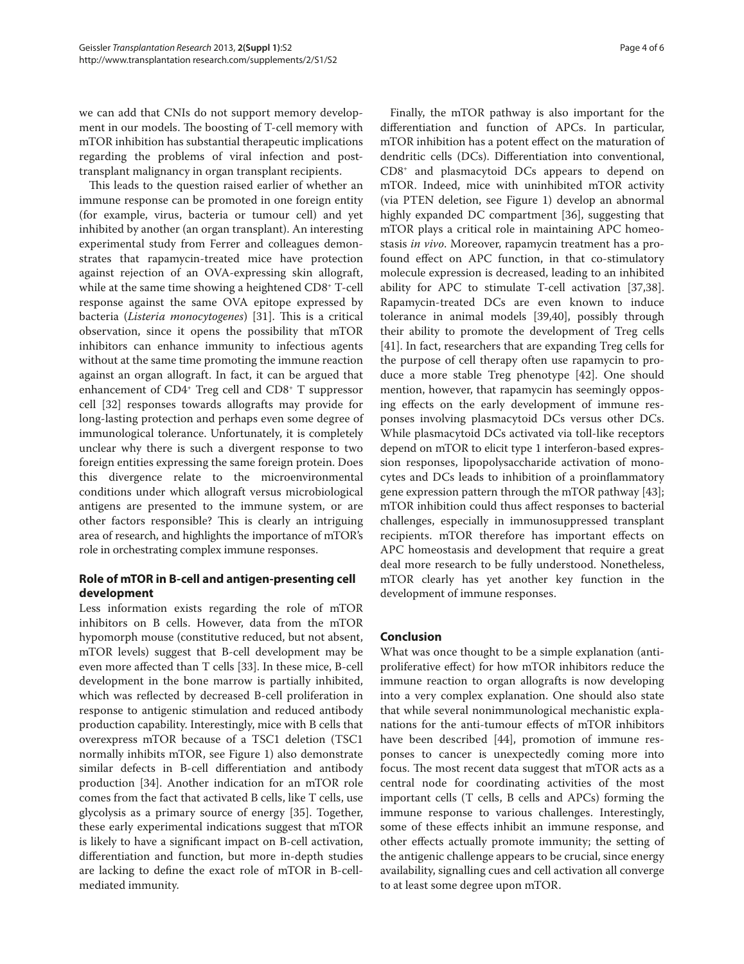we can add that CNIs do not support memory development in our models. The boosting of T-cell memory with mTOR inhibition has substantial therapeutic implications regarding the problems of viral infection and posttransplant malignancy in organ transplant recipients.

This leads to the question raised earlier of whether an immune response can be promoted in one foreign entity (for example, virus, bacteria or tumour cell) and yet inhibited by another (an organ transplant). An interesting experimental study from Ferrer and colleagues demonstrates that rapamycin-treated mice have protection against rejection of an OVA-expressing skin allograft, while at the same time showing a heightened CD8+ T-cell response against the same OVA epitope expressed by bacteria (*Listeria monocytogenes*) [31]. This is a critical observation, since it opens the possibility that mTOR inhibitors can enhance immunity to infectious agents without at the same time promoting the immune reaction against an organ allograft. In fact, it can be argued that enhancement of CD4<sup>+</sup> Treg cell and CD8<sup>+</sup> T suppressor cell [32] responses towards allografts may provide for long-lasting protection and perhaps even some degree of immunological tolerance. Unfortunately, it is completely unclear why there is such a divergent response to two foreign entities expressing the same foreign protein. Does this divergence relate to the microenvironmental conditions under which allograft versus microbiological antigens are presented to the immune system, or are other factors responsible? This is clearly an intriguing area of research, and highlights the importance of mTOR's role in orchestrating complex immune responses.

# **Role of mTOR in B-cell and antigen-presenting cell development**

Less information exists regarding the role of mTOR inhibitors on B cells. However, data from the mTOR hypomorph mouse (constitutive reduced, but not absent, mTOR levels) suggest that B-cell development may be even more affected than T cells [33]. In these mice, B-cell development in the bone marrow is partially inhibited, which was reflected by decreased B-cell proliferation in response to antigenic stimulation and reduced antibody production capability. Interestingly, mice with B cells that overexpress mTOR because of a TSC1 deletion (TSC1 normally inhibits mTOR, see Figure 1) also demonstrate similar defects in B-cell differentiation and antibody production [34]. Another indication for an mTOR role comes from the fact that activated B cells, like T cells, use glycolysis as a primary source of energy [35]. Together, these early experimental indications suggest that mTOR is likely to have a significant impact on B-cell activation, differentiation and function, but more in-depth studies are lacking to define the exact role of  $mTOR$  in B-cellmediated immunity.

Finally, the mTOR pathway is also important for the differentiation and function of APCs. In particular, mTOR inhibition has a potent effect on the maturation of dendritic cells (DCs). Differentiation into conventional, CD8+ and plasmacytoid DCs appears to depend on mTOR. Indeed, mice with uninhibited mTOR activity (via PTEN deletion, see Figure 1) develop an abnormal highly expanded DC compartment [36], suggesting that mTOR plays a critical role in maintaining APC homeostasis *in vivo*. Moreover, rapamycin treatment has a profound effect on APC function, in that co-stimulatory molecule expression is decreased, leading to an inhibited ability for APC to stimulate T-cell activation [37,38]. Rapamycin-treated DCs are even known to induce tolerance in animal models [39,40], possibly through their ability to promote the development of Treg cells [41]. In fact, researchers that are expanding Treg cells for the purpose of cell therapy often use rapamycin to produce a more stable Treg phenotype [42]. One should mention, however, that rapamycin has seemingly opposing effects on the early development of immune responses involving plasmacytoid DCs versus other DCs. While plasmacytoid DCs activated via toll-like receptors depend on mTOR to elicit type 1 interferon-based expression responses, lipopolysaccharide activation of monocytes and DCs leads to inhibition of a proinflammatory gene expression pattern through the mTOR pathway [43]; mTOR inhibition could thus affect responses to bacterial challenges, especially in immunosuppressed transplant recipients. mTOR therefore has important effects on APC homeostasis and development that require a great deal more research to be fully understood. Nonetheless, mTOR clearly has yet another key function in the development of immune responses.

# **Conclusion**

What was once thought to be a simple explanation (antiproliferative effect) for how mTOR inhibitors reduce the immune reaction to organ allografts is now developing into a very complex explanation. One should also state that while several nonimmunological mechanistic explanations for the anti-tumour effects of mTOR inhibitors have been described [44], promotion of immune responses to cancer is unexpectedly coming more into focus. The most recent data suggest that mTOR acts as a central node for coordinating activities of the most important cells (T cells, B cells and APCs) forming the immune response to various challenges. Interestingly, some of these effects inhibit an immune response, and other effects actually promote immunity; the setting of the antigenic challenge appears to be crucial, since energy availability, signalling cues and cell activation all converge to at least some degree upon mTOR.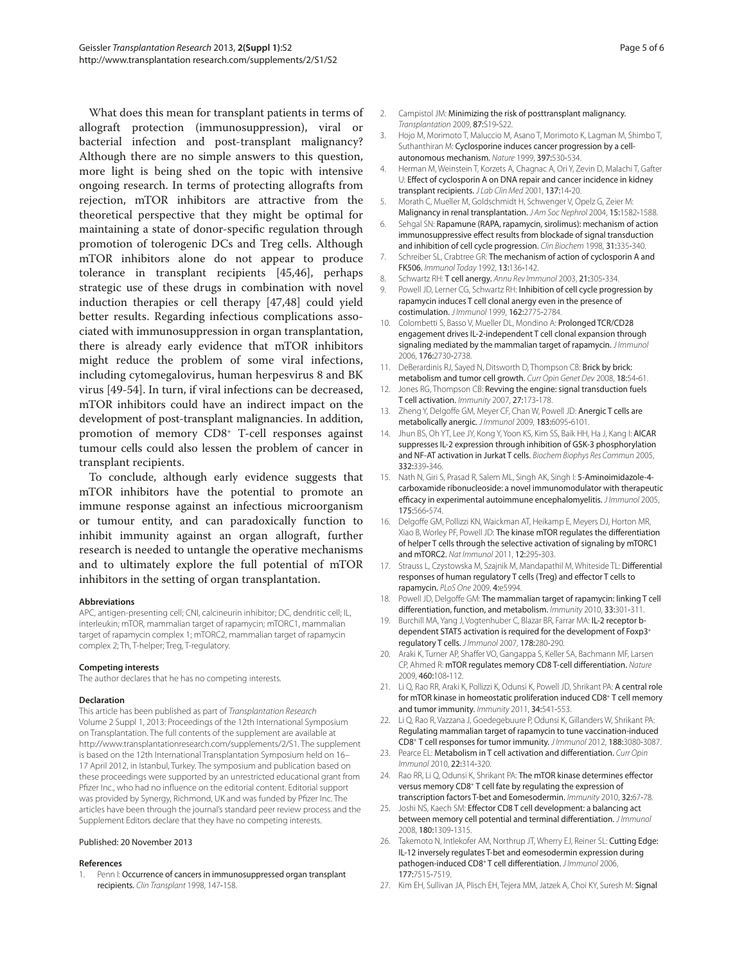What does this mean for transplant patients in terms of allograft protection (immunosuppression), viral or bacterial infection and post-transplant malignancy? Although there are no simple answers to this question, more light is being shed on the topic with intensive ongoing research. In terms of protecting allografts from rejection, mTOR inhibitors are attractive from the theoretical perspective that they might be optimal for maintaining a state of donor-specific regulation through promotion of tolerogenic DCs and Treg cells. Although mTOR inhibitors alone do not appear to produce tolerance in transplant recipients [45,46], perhaps strategic use of these drugs in combination with novel induction therapies or cell therapy [47,48] could yield better results. Regarding infectious complications associated with immunosuppression in organ transplantation, there is already early evidence that mTOR inhibitors might reduce the problem of some viral infections, including cytomegalovirus, human herpesvirus 8 and BK virus [49-54]. In turn, if viral infections can be decreased, mTOR inhibitors could have an indirect impact on the development of post-transplant malignancies. In addition, promotion of memory CD8+ T-cell responses against tumour cells could also lessen the problem of cancer in transplant recipients.

To conclude, although early evidence suggests that mTOR inhibitors have the potential to promote an immune response against an infectious microorganism or tumour entity, and can paradoxically function to inhibit immunity against an organ allograft, further research is needed to untangle the operative mechanisms and to ultimately explore the full potential of mTOR inhibitors in the setting of organ transplantation.

#### **Abbreviations**

APC, antigen-presenting cell; CNI, calcineurin inhibitor; DC, dendritic cell; IL, interleukin; mTOR, mammalian target of rapamycin; mTORC1, mammalian target of rapamycin complex 1; mTORC2, mammalian target of rapamycin complex 2; Th, T-helper; Treg, T-regulatory.

#### **Competing interests**

The author declares that he has no competing interests.

#### **Declaration**

This article has been published as part of Transplantation Research Volume 2 Suppl 1, 2013: Proceedings of the 12th International Symposium on Transplantation. The full contents of the supplement are available at http://www.transplantationresearch.com/supplements/2/S1. The supplement is based on the 12th International Transplantation Symposium held on 16– 17 April 2012, in Istanbul, Turkey. The symposium and publication based on these proceedings were supported by an unrestricted educational grant from Pfizer Inc., who had no influence on the editorial content. Editorial support was provided by Synergy, Richmond, UK and was funded by Pfizer Inc. The articles have been through the journal's standard peer review process and the Supplement Editors declare that they have no competing interests.

### Published: 20 November 2013

#### **References**

1. Penn I: Occurrence of cancers in immunosuppressed organ transplant recipients. Clin Transplant 1998, 147-158.

- Campistol JM: Minimizing the risk of posttransplant malignancy. Transplantation 2009, 87:S19-S22.
- 3. Hojo M, Morimoto T, Maluccio M, Asano T, Morimoto K, Lagman M, Shimbo T, Suthanthiran M: Cyclosporine induces cancer progression by a cellautonomous mechanism. Nature 1999, 397:530-534.
- 4. Herman M, Weinstein T, Korzets A, Chagnac A, Ori Y, Zevin D, Malachi T, Gafter U: Effect of cyclosporin A on DNA repair and cancer incidence in kidney transplant recipients. J Lab Clin Med 2001, 137:14-20.
- 5. Morath C, Mueller M, Goldschmidt H, Schwenger V, Opelz G, Zeier M: Malignancy in renal transplantation. JAm Soc Nephrol 2004, 15:1582-1588.
- 6. Sehgal SN: Rapamune (RAPA, rapamycin, sirolimus): mechanism of action immunosuppressive effect results from blockade of signal transduction and inhibition of cell cycle progression. Clin Biochem 1998, 31:335-340.
- 7. Schreiber SL, Crabtree GR: The mechanism of action of cyclosporin A and FK506. Immunol Today 1992, 13:136-142.
- 8. Schwartz RH: T cell anergy. Annu Rev Immunol 2003, 21:305-334.
- 9. Powell JD, Lerner CG, Schwartz RH: Inhibition of cell cycle progression by rapamycin induces T cell clonal anergy even in the presence of costimulation. J Immunol 1999, 162:2775-2784.
- 10. Colombetti S, Basso V, Mueller DL, Mondino A: Prolonged TCR/CD28 engagement drives IL-2-independent T cell clonal expansion through signaling mediated by the mammalian target of rapamycin. J Immunol 2006, 176:2730-2738.
- 11. DeBerardinis RJ, Sayed N, Ditsworth D, Thompson CB: Brick by brick: metabolism and tumor cell growth. Curr Opin Genet Dev 2008, 18:54-61.
- 12. Jones RG, Thompson CB: Revving the engine: signal transduction fuels T cell activation. Immunity 2007, 27:173-178.
- 13. Zheng Y, Delgoffe GM, Meyer CF, Chan W, Powell JD: Anergic T cells are metabolically anergic. J Immunol 2009, 183:6095-6101.
- 14. Jhun BS, Oh YT, Lee JY, Kong Y, Yoon KS, Kim SS, Baik HH, Ha J, Kang I: AICAR suppresses IL-2 expression through inhibition of GSK-3 phosphorylation and NF-AT activation in Jurkat T cells. Biochem Biophys Res Commun 2005, 332:339-346.
- 15. Nath N, Giri S, Prasad R, Salem ML, Singh AK, Singh I: 5-Aminoimidazole-4carboxamide ribonucleoside: a novel immunomodulator with therapeutic efficacy in experimental autoimmune encephalomyelitis. J Immunol 2005, 175:566-574.
- 16. Delgoffe GM, Pollizzi KN, Waickman AT, Heikamp F, Meyers DJ, Horton MR, Xiao B, Worley PF, Powell JD: The kinase mTOR regulates the differentiation of helper T cells through the selective activation of signaling by mTORC1 and mTORC2. Nat Immunol 2011, 12:295-303.
- 17. Strauss L, Czystowska M, Szajnik M, Mandapathil M, Whiteside TL: Differential responses of human regulatory T cells (Treg) and effector T cells to rapamycin. PLoS One 2009, 4:e5994.
- 18. Powell JD, Delgoffe GM: The mammalian target of rapamycin: linking T cell differentiation, function, and metabolism. Immunity 2010, 33:301-311.
- 19. Burchill MA, Yang J, Vogtenhuber C, Blazar BR, Farrar MA: IL-2 receptor bdependent STAT5 activation is required for the development of Foxp3+ regulatory T cells. J Immunol 2007, 178:280-290.
- 20. Araki K, Turner AP, Shaffer VO, Gangappa S, Keller SA, Bachmann MF, Larsen CP, Ahmed R: mTOR regulates memory CD8 T-cell differentiation. Nature 2009, 460:108-112.
- 21. Li Q, Rao RR, Araki K, Pollizzi K, Odunsi K, Powell JD, Shrikant PA: A central role for mTOR kinase in homeostatic proliferation induced CD8+ T cell memory and tumor immunity. Immunity 2011, 34:541-553.
- 22. Li Q, Rao R, Vazzana J, Goedegebuure P, Odunsi K, Gillanders W, Shrikant PA: Regulating mammalian target of rapamycin to tune vaccination-induced CD8+ T cell responses for tumor immunity. J Immunol 2012, 188:3080-3087.
- 23. Pearce EL: Metabolism in T cell activation and differentiation. Curr Opin Immunol 2010, 22:314-320.
- 24. Rao RR, Li Q, Odunsi K, Shrikant PA: The mTOR kinase determines effector versus memory CD8+ T cell fate by regulating the expression of transcription factors T-bet and Eomesodermin. Immunity 2010, 32:67-78.
- 25. Joshi NS, Kaech SM: Effector CD8 T cell development: a balancing act between memory cell potential and terminal differentiation. J Immunol 2008, 180:1309-1315.
- Takemoto N, Intlekofer AM, Northrup JT, Wherry EJ, Reiner SL: Cutting Edge: IL-12 inversely regulates T-bet and eomesodermin expression during pathogen-induced CD8+T cell differentiation. J Immunol 2006, 177:7515-7519.
- 27. Kim EH, Sullivan JA, Plisch EH, Tejera MM, Jatzek A, Choi KY, Suresh M: Signal